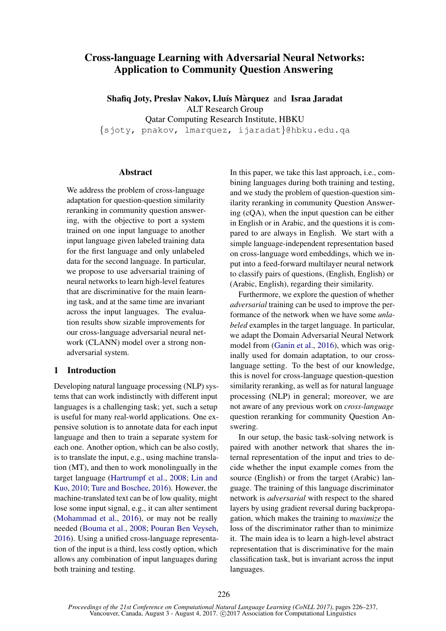# Cross-language Learning with Adversarial Neural Networks: Application to Community Question Answering

Shafiq Joty, Preslav Nakov, Lluís Màrquez and Israa Jaradat ALT Research Group

Qatar Computing Research Institute, HBKU

{sjoty, pnakov, lmarquez, ijaradat}@hbku.edu.qa

#### **Abstract**

We address the problem of cross-language adaptation for question-question similarity reranking in community question answering, with the objective to port a system trained on one input language to another input language given labeled training data for the first language and only unlabeled data for the second language. In particular, we propose to use adversarial training of neural networks to learn high-level features that are discriminative for the main learning task, and at the same time are invariant across the input languages. The evaluation results show sizable improvements for our cross-language adversarial neural network (CLANN) model over a strong nonadversarial system.

## 1 Introduction

Developing natural language processing (NLP) systems that can work indistinctly with different input languages is a challenging task; yet, such a setup is useful for many real-world applications. One expensive solution is to annotate data for each input language and then to train a separate system for each one. Another option, which can be also costly, is to translate the input, e.g., using machine translation (MT), and then to work monolingually in the target language (Hartrumpf et al., 2008; Lin and Kuo, 2010; Ture and Boschee, 2016). However, the machine-translated text can be of low quality, might lose some input signal, e.g., it can alter sentiment (Mohammad et al., 2016), or may not be really needed (Bouma et al., 2008; Pouran Ben Veyseh, 2016). Using a unified cross-language representation of the input is a third, less costly option, which allows any combination of input languages during both training and testing.

In this paper, we take this last approach, i.e., combining languages during both training and testing, and we study the problem of question-question similarity reranking in community Question Answering (cQA), when the input question can be either in English or in Arabic, and the questions it is compared to are always in English. We start with a simple language-independent representation based on cross-language word embeddings, which we input into a feed-forward multilayer neural network to classify pairs of questions, (English, English) or (Arabic, English), regarding their similarity.

Furthermore, we explore the question of whether *adversarial* training can be used to improve the performance of the network when we have some *unlabeled* examples in the target language. In particular, we adapt the Domain Adversarial Neural Network model from (Ganin et al., 2016), which was originally used for domain adaptation, to our crosslanguage setting. To the best of our knowledge, this is novel for cross-language question-question similarity reranking, as well as for natural language processing (NLP) in general; moreover, we are not aware of any previous work on *cross-language* question reranking for community Question Answering.

In our setup, the basic task-solving network is paired with another network that shares the internal representation of the input and tries to decide whether the input example comes from the source (English) or from the target (Arabic) language. The training of this language discriminator network is *adversarial* with respect to the shared layers by using gradient reversal during backpropagation, which makes the training to *maximize* the loss of the discriminator rather than to minimize it. The main idea is to learn a high-level abstract representation that is discriminative for the main classification task, but is invariant across the input languages.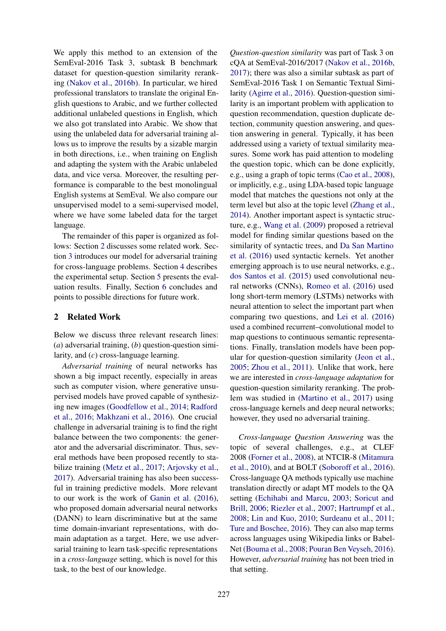We apply this method to an extension of the SemEval-2016 Task 3, subtask B benchmark dataset for question-question similarity reranking (Nakov et al., 2016b). In particular, we hired professional translators to translate the original English questions to Arabic, and we further collected additional unlabeled questions in English, which we also got translated into Arabic. We show that using the unlabeled data for adversarial training allows us to improve the results by a sizable margin in both directions, i.e., when training on English and adapting the system with the Arabic unlabeled data, and vice versa. Moreover, the resulting performance is comparable to the best monolingual English systems at SemEval. We also compare our unsupervised model to a semi-supervised model, where we have some labeled data for the target language.

The remainder of this paper is organized as follows: Section 2 discusses some related work. Section 3 introduces our model for adversarial training for cross-language problems. Section 4 describes the experimental setup. Section 5 presents the evaluation results. Finally, Section 6 concludes and points to possible directions for future work.

# 2 Related Work

Below we discuss three relevant research lines: (*a*) adversarial training, (*b*) question-question similarity, and (*c*) cross-language learning.

*Adversarial training* of neural networks has shown a big impact recently, especially in areas such as computer vision, where generative unsupervised models have proved capable of synthesizing new images (Goodfellow et al., 2014; Radford et al., 2016; Makhzani et al., 2016). One crucial challenge in adversarial training is to find the right balance between the two components: the generator and the adversarial discriminator. Thus, several methods have been proposed recently to stabilize training (Metz et al., 2017; Arjovsky et al., 2017). Adversarial training has also been successful in training predictive models. More relevant to our work is the work of Ganin et al. (2016), who proposed domain adversarial neural networks (DANN) to learn discriminative but at the same time domain-invariant representations, with domain adaptation as a target. Here, we use adversarial training to learn task-specific representations in a *cross-language* setting, which is novel for this task, to the best of our knowledge.

*Question-question similarity* was part of Task 3 on cQA at SemEval-2016/2017 (Nakov et al., 2016b, 2017); there was also a similar subtask as part of SemEval-2016 Task 1 on Semantic Textual Similarity (Agirre et al., 2016). Question-question similarity is an important problem with application to question recommendation, question duplicate detection, community question answering, and question answering in general. Typically, it has been addressed using a variety of textual similarity measures. Some work has paid attention to modeling the question topic, which can be done explicitly, e.g., using a graph of topic terms (Cao et al., 2008), or implicitly, e.g., using LDA-based topic language model that matches the questions not only at the term level but also at the topic level (Zhang et al., 2014). Another important aspect is syntactic structure, e.g., Wang et al. (2009) proposed a retrieval model for finding similar questions based on the similarity of syntactic trees, and Da San Martino et al. (2016) used syntactic kernels. Yet another emerging approach is to use neural networks, e.g., dos Santos et al. (2015) used convolutional neural networks (CNNs), Romeo et al. (2016) used long short-term memory (LSTMs) networks with neural attention to select the important part when comparing two questions, and Lei et al. (2016) used a combined recurrent–convolutional model to map questions to continuous semantic representations. Finally, translation models have been popular for question-question similarity (Jeon et al., 2005; Zhou et al., 2011). Unlike that work, here we are interested in *cross-language adaptation* for question-question similarity reranking. The problem was studied in (Martino et al., 2017) using cross-language kernels and deep neural networks; however, they used no adversarial training.

*Cross-language Question Answering* was the topic of several challenges, e.g., at CLEF 2008 (Forner et al., 2008), at NTCIR-8 (Mitamura et al., 2010), and at BOLT (Soboroff et al., 2016). Cross-language QA methods typically use machine translation directly or adapt MT models to the QA setting (Echihabi and Marcu, 2003; Soricut and Brill, 2006; Riezler et al., 2007; Hartrumpf et al., 2008; Lin and Kuo, 2010; Surdeanu et al., 2011; Ture and Boschee, 2016). They can also map terms across languages using Wikipedia links or Babel-Net (Bouma et al., 2008; Pouran Ben Veyseh, 2016). However, *adversarial training* has not been tried in that setting.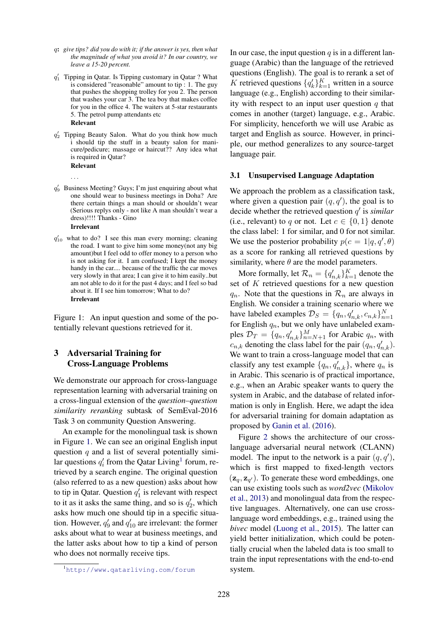- q: *give tips? did you do with it; if the answer is yes, then what the magnitude of what you avoid it? In our country, we leave a 15-20 percent.*
- $q'_1$  Tipping in Qatar. Is Tipping customary in Qatar ? What is considered "reasonable" amount to tip : 1. The guy that pushes the shopping trolley for you 2. The person that washes your car 3. The tea boy that makes coffee for you in the office 4. The waiters at 5-star restaurants 5. The petrol pump attendants etc Relevant
- $q'_2$  Tipping Beauty Salon. What do you think how much i should tip the stuff in a beauty salon for manicure/pedicure; massage or haircut?? Any idea what is required in Qatar? Relevant
	- . . .
- $q'_9$  Business Meeting? Guys; I'm just enquiring about what one should wear to business meetings in Doha? Are there certain things a man should or shouldn't wear (Serious replys only - not like A man shouldn't wear a dress)!!!! Thanks - Gino Irrelevant
- $q'_{10}$  what to do? I see this man every morning; cleaning the road. I want to give him some money(not any big amount)but I feel odd to offer money to a person who is not asking for it. I am confused; I kept the money handy in the car.... because of the traffic the car moves very slowly in that area; I can give it to him easily..but am not able to do it for the past 4 days; and I feel so bad about it. If I see him tomorrow; What to do? Irrelevant

Figure 1: An input question and some of the potentially relevant questions retrieved for it.

# 3 Adversarial Training for Cross-Language Problems

We demonstrate our approach for cross-language representation learning with adversarial training on a cross-lingual extension of the *question–question similarity reranking* subtask of SemEval-2016 Task 3 on community Question Answering.

An example for the monolingual task is shown in Figure 1. We can see an original English input question  $q$  and a list of several potentially similar questions  $q'_i$  from the Qatar Living<sup>1</sup> forum, retrieved by a search engine. The original question (also referred to as a new question) asks about how to tip in Qatar. Question  $q'_1$  is relevant with respect to it as it asks the same thing, and so is  $q'_2$ , which asks how much one should tip in a specific situation. However,  $q'_9$  and  $q'_{10}$  are irrelevant: the former asks about what to wear at business meetings, and the latter asks about how to tip a kind of person who does not normally receive tips.

In our case, the input question  $q$  is in a different language (Arabic) than the language of the retrieved questions (English). The goal is to rerank a set of K retrieved questions  $\{q_k^{\prime}\}_{k=1}^K$  written in a source language (e.g., English) according to their similarity with respect to an input user question  $q$  that comes in another (target) language, e.g., Arabic. For simplicity, henceforth we will use Arabic as target and English as source. However, in principle, our method generalizes to any source-target language pair.

#### 3.1 Unsupervised Language Adaptation

We approach the problem as a classification task, where given a question pair  $(q, q')$ , the goal is to decide whether the retrieved question  $q'$  is *similar* (i.e., relevant) to q or not. Let  $c \in \{0, 1\}$  denote the class label: 1 for similar, and 0 for not similar. We use the posterior probability  $p(c = 1|q, q', \theta)$ as a score for ranking all retrieved questions by similarity, where  $\theta$  are the model parameters.

More formally, let  $\mathcal{R}_n = \{q_{n,k}^{\prime}\}_{k=1}^K$  denote the set of  $K$  retrieved questions for a new question  $q_n$ . Note that the questions in  $\mathcal{R}_n$  are always in English. We consider a training scenario where we have labeled examples  $\mathcal{D}_S = \{q_n, q'_{n,k}, c_{n,k}\}_{n=1}^N$ for English  $q_n$ , but we only have unlabeled examples  $\mathcal{D}_T = \{q_n, q'_{n,k}\}_{n=N+1}^M$  for Arabic  $q_n$ , with  $c_{n,k}$  denoting the class label for the pair  $(q_n, q_{n,k}')$ . We want to train a cross-language model that can classify any test example  $\{q_n, q'_{n,k}\}\,$ , where  $q_n$  is in Arabic. This scenario is of practical importance, e.g., when an Arabic speaker wants to query the system in Arabic, and the database of related information is only in English. Here, we adapt the idea for adversarial training for domain adaptation as proposed by Ganin et al. (2016).

Figure 2 shows the architecture of our crosslanguage adversarial neural network (CLANN) model. The input to the network is a pair  $(q, q')$ , which is first mapped to fixed-length vectors  $(\mathbf{z}_q, \mathbf{z}_{q'})$ . To generate these word embeddings, one can use existing tools such as *word2vec* (Mikolov et al., 2013) and monolingual data from the respective languages. Alternatively, one can use crosslanguage word embeddings, e.g., trained using the *bivec* model (Luong et al., 2015). The latter can yield better initialization, which could be potentially crucial when the labeled data is too small to train the input representations with the end-to-end system.

<sup>1</sup>http://www.qatarliving.com/forum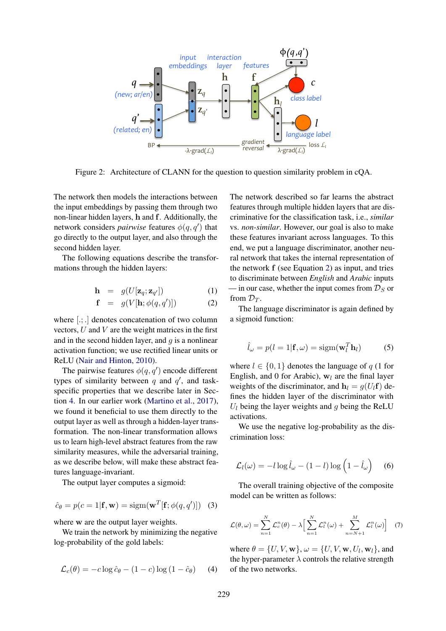

Figure 2: Architecture of CLANN for the question to question similarity problem in cQA.

The network then models the interactions between the input embeddings by passing them through two non-linear hidden layers, h and f. Additionally, the network considers *pairwise* features  $\phi(q, q')$  that go directly to the output layer, and also through the second hidden layer.

The following equations describe the transformations through the hidden layers:

$$
\mathbf{h} = g(U[\mathbf{z}_q; \mathbf{z}_{q'}]) \tag{1}
$$

$$
\mathbf{f} = g(V[\mathbf{h}; \phi(q, q')]) \tag{2}
$$

where [.; .] denotes concatenation of two column vectors,  $U$  and  $V$  are the weight matrices in the first and in the second hidden layer, and  $q$  is a nonlinear activation function; we use rectified linear units or ReLU (Nair and Hinton, 2010).

The pairwise features  $\phi(q, q')$  encode different types of similarity between  $q$  and  $q'$ , and taskspecific properties that we describe later in Section 4. In our earlier work (Martino et al., 2017), we found it beneficial to use them directly to the output layer as well as through a hidden-layer transformation. The non-linear transformation allows us to learn high-level abstract features from the raw similarity measures, while the adversarial training, as we describe below, will make these abstract features language-invariant.

The output layer computes a sigmoid:

$$
\hat{c}_{\theta} = p(c = 1|\mathbf{f}, \mathbf{w}) = \text{sigm}(\mathbf{w}^{T}[\mathbf{f}; \phi(q, q')] )
$$
 (3)

where w are the output layer weights.

We train the network by minimizing the negative log-probability of the gold labels:

$$
\mathcal{L}_c(\theta) = -c \log \hat{c}_{\theta} - (1 - c) \log (1 - \hat{c}_{\theta}) \tag{4}
$$

The network described so far learns the abstract features through multiple hidden layers that are discriminative for the classification task, i.e., *similar* vs. *non-similar*. However, our goal is also to make these features invariant across languages. To this end, we put a language discriminator, another neural network that takes the internal representation of the network f (see Equation 2) as input, and tries to discriminate between *English* and *Arabic* inputs — in our case, whether the input comes from  $\mathcal{D}_S$  or from  $\mathcal{D}_T$ .

The language discriminator is again defined by a sigmoid function:

$$
\hat{l}_{\omega} = p(l = 1|\mathbf{f}, \omega) = \text{sigm}(\mathbf{w}_l^T \mathbf{h}_l)
$$
 (5)

where  $l \in \{0, 1\}$  denotes the language of q (1 for English, and 0 for Arabic),  $w_l$  are the final layer weights of the discriminator, and  $h_l = g(U_l f)$  defines the hidden layer of the discriminator with  $U_l$  being the layer weights and g being the ReLU activations.

We use the negative log-probability as the discrimination loss:

$$
\mathcal{L}_l(\omega) = -l \log \hat{l}_{\omega} - (1 - l) \log \left( 1 - \hat{l}_{\omega} \right) \quad (6)
$$

The overall training objective of the composite model can be written as follows:

$$
\mathcal{L}(\theta,\omega) = \sum_{n=1}^{N} \mathcal{L}_c^n(\theta) - \lambda \Big[ \sum_{n=1}^{N} \mathcal{L}_l^n(\omega) + \sum_{n=N+1}^{M} \mathcal{L}_l^n(\omega) \Big] \quad (7)
$$

where  $\theta = \{U, V, \mathbf{w}\}, \omega = \{U, V, \mathbf{w}, U_l, \mathbf{w}_l\}$ , and the hyper-parameter  $\lambda$  controls the relative strength of the two networks.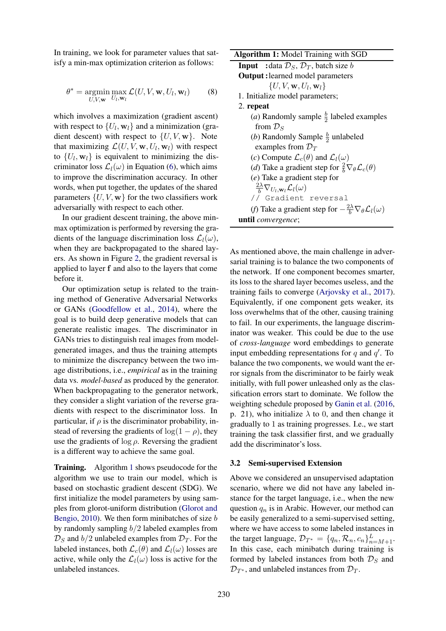In training, we look for parameter values that satisfy a min-max optimization criterion as follows:

$$
\theta^* = \operatorname*{argmin}_{U, V, \mathbf{w}} \max_{U_l, \mathbf{w}_l} \mathcal{L}(U, V, \mathbf{w}, U_l, \mathbf{w}_l)
$$
(8)

which involves a maximization (gradient ascent) with respect to  $\{U_l, \mathbf{w}_l\}$  and a minimization (gradient descent) with respect to  $\{U, V, \mathbf{w}\}\$ . Note that maximizing  $\mathcal{L}(U, V, \mathbf{w}, U_l, \mathbf{w}_l)$  with respect to  $\{U_l, \mathbf{w}_l\}$  is equivalent to minimizing the discriminator loss  $\mathcal{L}_l(\omega)$  in Equation (6), which aims to improve the discrimination accuracy. In other words, when put together, the updates of the shared parameters  $\{U, V, \mathbf{w}\}\$  for the two classifiers work adversarially with respect to each other.

In our gradient descent training, the above minmax optimization is performed by reversing the gradients of the language discrimination loss  $\mathcal{L}_l(\omega)$ , when they are backpropagated to the shared layers. As shown in Figure 2, the gradient reversal is applied to layer f and also to the layers that come before it.

Our optimization setup is related to the training method of Generative Adversarial Networks or GANs (Goodfellow et al., 2014), where the goal is to build deep generative models that can generate realistic images. The discriminator in GANs tries to distinguish real images from modelgenerated images, and thus the training attempts to minimize the discrepancy between the two image distributions, i.e., *empirical* as in the training data vs. *model-based* as produced by the generator. When backpropagating to the generator network, they consider a slight variation of the reverse gradients with respect to the discriminator loss. In particular, if  $\rho$  is the discriminator probability, instead of reversing the gradients of  $log(1 - \rho)$ , they use the gradients of  $\log \rho$ . Reversing the gradient is a different way to achieve the same goal.

Training. Algorithm 1 shows pseudocode for the algorithm we use to train our model, which is based on stochastic gradient descent (SDG). We first initialize the model parameters by using samples from glorot-uniform distribution (Glorot and Bengio,  $2010$ ). We then form minibatches of size  $b$ by randomly sampling  $b/2$  labeled examples from  $\mathcal{D}_S$  and  $b/2$  unlabeled examples from  $\mathcal{D}_T$ . For the labeled instances, both  $\mathcal{L}_c(\theta)$  and  $\mathcal{L}_l(\omega)$  losses are active, while only the  $\mathcal{L}_l(\omega)$  loss is active for the unlabeled instances.

| Algorithm 1: Model Training with SGD                                                      |
|-------------------------------------------------------------------------------------------|
| <b>Input</b> : data $\mathcal{D}_S$ , $\mathcal{D}_T$ , batch size b                      |
| <b>Output:</b> learned model parameters                                                   |
| $\{U, V, \mathbf{w}, U_l, \mathbf{w}_l\}$                                                 |
| 1. Initialize model parameters;                                                           |
| 2. repeat                                                                                 |
| ( <i>a</i> ) Randomly sample $\frac{b}{2}$ labeled examples                               |
| from $\mathcal{D}_S$                                                                      |
| ( <i>b</i> ) Randomly Sample $\frac{b}{2}$ unlabeled                                      |
| examples from $\mathcal{D}_T$                                                             |
| (c) Compute $\mathcal{L}_c(\theta)$ and $\mathcal{L}_l(\omega)$                           |
| ( <i>d</i> ) Take a gradient step for $\frac{2}{b} \nabla_{\theta} \mathcal{L}_c(\theta)$ |
| $(e)$ Take a gradient step for                                                            |
| $\frac{2\lambda}{h} \nabla_{U_l,\mathbf{w}_l} \mathcal{L}_l(\omega)$                      |
| // Gradient reversal                                                                      |
| (f) Take a gradient step for $-\frac{2\lambda}{b}\nabla_{\theta} \mathcal{L}_l(\omega)$   |
| <b>until</b> convergence;                                                                 |

As mentioned above, the main challenge in adversarial training is to balance the two components of the network. If one component becomes smarter, its loss to the shared layer becomes useless, and the training fails to converge (Arjovsky et al., 2017). Equivalently, if one component gets weaker, its loss overwhelms that of the other, causing training to fail. In our experiments, the language discriminator was weaker. This could be due to the use of *cross-language* word embeddings to generate input embedding representations for  $q$  and  $q'$ . To balance the two components, we would want the error signals from the discriminator to be fairly weak initially, with full power unleashed only as the classification errors start to dominate. We follow the weighting schedule proposed by Ganin et al. (2016, p. 21), who initialize  $\lambda$  to 0, and then change it gradually to 1 as training progresses. I.e., we start training the task classifier first, and we gradually add the discriminator's loss.

#### 3.2 Semi-supervised Extension

Above we considered an unsupervised adaptation scenario, where we did not have any labeled instance for the target language, i.e., when the new question  $q_n$  is in Arabic. However, our method can be easily generalized to a semi-supervised setting, where we have access to some labeled instances in the target language,  $\mathcal{D}_{T^*} = \{q_n, \mathcal{R}_n, c_n\}_{n=M+1}^L$ . In this case, each minibatch during training is formed by labeled instances from both  $\mathcal{D}_S$  and  $\mathcal{D}_{T^*}$ , and unlabeled instances from  $\mathcal{D}_T$ .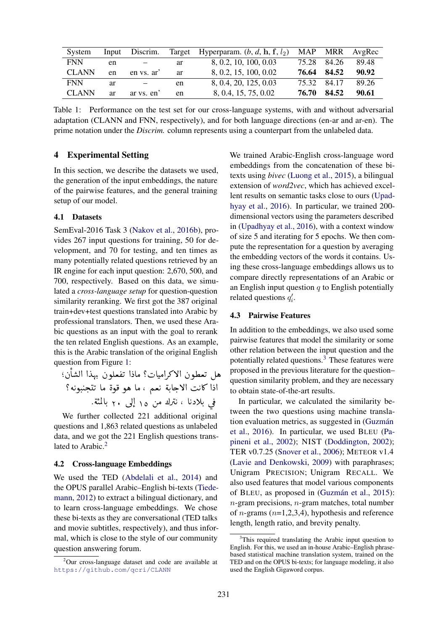| System       | Input | Discrim.                 |    | Target Hyperparam. $(b, d, h, f, l_2)$ |             |       | MAP MRR AvgRec |
|--------------|-------|--------------------------|----|----------------------------------------|-------------|-------|----------------|
| <b>FNN</b>   | en    | $\overline{\phantom{m}}$ | ar | 8, 0.2, 10, 100, 0.03                  | 75.28       | 84.26 | 89.48          |
| <b>CLANN</b> | en    | en vs. ar'               | ar | 8, 0.2, 15, 100, 0.02                  | 76.64       | 84.52 | 90.92          |
| <b>FNN</b>   | ar    |                          | en | 8, 0.4, 20, 125, 0.03                  | 75.32 84.17 |       | 89.26          |
| <b>CLANN</b> | ar    | ar vs. en'               | en | 8, 0.4, 15, 75, 0.02                   | 76.70       | 84.52 | 90.61          |

Table 1: Performance on the test set for our cross-language systems, with and without adversarial adaptation (CLANN and FNN, respectively), and for both language directions (en-ar and ar-en). The prime notation under the *Discrim.* column represents using a counterpart from the unlabeled data.

#### 4 Experimental Setting

In this section, we describe the datasets we used, the generation of the input embeddings, the nature of the pairwise features, and the general training setup of our model.

#### 4.1 Datasets

SemEval-2016 Task 3 (Nakov et al., 2016b), provides 267 input questions for training, 50 for development, and 70 for testing, and ten times as many potentially related questions retrieved by an IR engine for each input question: 2,670, 500, and 700, respectively. Based on this data, we simulated a *cross-language setup* for question-question similarity reranking. We first got the 387 original train+dev+test questions translated into Arabic by professional translators. Then, we used these Arabic questions as an input with the goal to rerank the ten related English questions. As an example, this is the Arabic translation of the original English question from Figure 1:<br>:ا تفعلون مذا الشأن؛ .<br>. ׇׇ֦֡֓֓֓֓֡֓֓֓֓֓֓֓֓֓֓֓֡׆<br>׆ ์<br>. ؙؚ<br>ۣ Ì.

; à YîE. ® XAÓ ?HAJ Ó@Q»B@ àñ¢ª K Éë ? é KñJ. Jj. K AÓ èñ ¯ ñë AÓ , Ѫ K éK . Ag. B@ I KA¿ @ X@ . é JÖÏAK . 20 úÍ@ 15 áÓ ¼ Q K , A KXCK . ú ¯

We further collected 221 additional original questions and 1,863 related questions as unlabeled data, and we got the 221 English questions translated to Arabic.<sup>2</sup>

#### 4.2 Cross-language Embeddings

We used the TED (Abdelali et al., 2014) and the OPUS parallel Arabic–English bi-texts (Tiedemann, 2012) to extract a bilingual dictionary, and to learn cross-language embeddings. We chose these bi-texts as they are conversational (TED talks and movie subtitles, respectively), and thus informal, which is close to the style of our community question answering forum.

We trained Arabic-English cross-language word embeddings from the concatenation of these bitexts using *bivec* (Luong et al., 2015), a bilingual extension of *word2vec*, which has achieved excellent results on semantic tasks close to ours (Upadhyay et al., 2016). In particular, we trained 200 dimensional vectors using the parameters described in (Upadhyay et al., 2016), with a context window of size 5 and iterating for 5 epochs. We then compute the representation for a question by averaging the embedding vectors of the words it contains. Using these cross-language embeddings allows us to compare directly representations of an Arabic or an English input question  $q$  to English potentially related questions  $q_i'$ .

#### 4.3 Pairwise Features

In addition to the embeddings, we also used some pairwise features that model the similarity or some other relation between the input question and the potentially related questions. $3$  These features were proposed in the previous literature for the question– question similarity problem, and they are necessary to obtain state-of-the-art results.

In particular, we calculated the similarity between the two questions using machine translation evaluation metrics, as suggested in (Guzmán et al., 2016). In particular, we used BLEU (Papineni et al., 2002); NIST (Doddington, 2002); TER v0.7.25 (Snover et al., 2006); METEOR v1.4 (Lavie and Denkowski, 2009) with paraphrases; Unigram PRECISION; Unigram RECALL. We also used features that model various components of BLEU, as proposed in (Guzmán et al., 2015):  $n$ -gram precisions,  $n$ -gram matches, total number of *n*-grams  $(n=1,2,3,4)$ , hypothesis and reference length, length ratio, and brevity penalty.

 $2$ Our cross-language dataset and code are available at https://github.com/qcri/CLANN

<sup>&</sup>lt;sup>3</sup>This required translating the Arabic input question to English. For this, we used an in-house Arabic–English phrasebased statistical machine translation system, trained on the TED and on the OPUS bi-texts; for language modeling, it also used the English Gigaword corpus.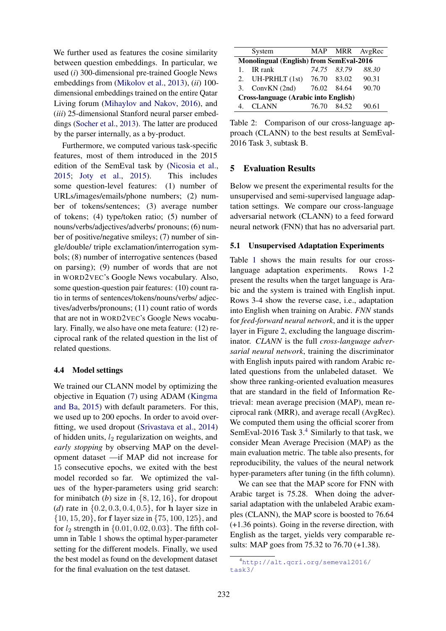We further used as features the cosine similarity between question embeddings. In particular, we used (*i*) 300-dimensional pre-trained Google News embeddings from (Mikolov et al., 2013), (*ii*) 100 dimensional embeddings trained on the entire Qatar Living forum (Mihaylov and Nakov, 2016), and (*iii*) 25-dimensional Stanford neural parser embeddings (Socher et al., 2013). The latter are produced by the parser internally, as a by-product.

Furthermore, we computed various task-specific features, most of them introduced in the 2015 edition of the SemEval task by (Nicosia et al., 2015; Joty et al., 2015). This includes some question-level features: (1) number of URLs/images/emails/phone numbers; (2) number of tokens/sentences; (3) average number of tokens; (4) type/token ratio; (5) number of nouns/verbs/adjectives/adverbs/ pronouns; (6) number of positive/negative smileys; (7) number of single/double/ triple exclamation/interrogation symbols; (8) number of interrogative sentences (based on parsing); (9) number of words that are not in WORD2VEC's Google News vocabulary. Also, some question-question pair features: (10) count ratio in terms of sentences/tokens/nouns/verbs/ adjectives/adverbs/pronouns; (11) count ratio of words that are not in WORD2VEC's Google News vocabulary. Finally, we also have one meta feature: (12) reciprocal rank of the related question in the list of related questions.

#### 4.4 Model settings

We trained our CLANN model by optimizing the objective in Equation (7) using ADAM (Kingma and Ba, 2015) with default parameters. For this, we used up to 200 epochs. In order to avoid overfitting, we used dropout (Srivastava et al., 2014) of hidden units,  $l_2$  regularization on weights, and *early stopping* by observing MAP on the development dataset —if MAP did not increase for 15 consecutive epochs, we exited with the best model recorded so far. We optimized the values of the hyper-parameters using grid search: for minibatch (*b*) size in  $\{8, 12, 16\}$ , for dropout (*d*) rate in {0.2, 0.3, 0.4, 0.5}, for h layer size in {10, 15, 20}, for f layer size in {75, 100, 125}, and for  $l_2$  strength in  $\{0.01, 0.02, 0.03\}$ . The fifth column in Table 1 shows the optimal hyper-parameter setting for the different models. Finally, we used the best model as found on the development dataset for the final evaluation on the test dataset.

|                                                | System                  |       |             | MAP MRR AvgRec |  |  |
|------------------------------------------------|-------------------------|-------|-------------|----------------|--|--|
| <b>Monolingual (English) from SemEval-2016</b> |                         |       |             |                |  |  |
| 1.                                             | IR rank                 |       | 74.75 83.79 | 88.30          |  |  |
|                                                | 2. UH-PRHLT (1st) 76.70 |       | 83.02       | 90.31          |  |  |
|                                                | 3. Conv $KN(2nd)$       | 76.02 | 84.64       | 90.70          |  |  |
| <b>Cross-language (Arabic into English)</b>    |                         |       |             |                |  |  |
|                                                | <b>CLANN</b>            | 76.70 | 84.52       | 90.61          |  |  |

Table 2: Comparison of our cross-language approach (CLANN) to the best results at SemEval-2016 Task 3, subtask B.

## 5 Evaluation Results

Below we present the experimental results for the unsupervised and semi-supervised language adaptation settings. We compare our cross-language adversarial network (CLANN) to a feed forward neural network (FNN) that has no adversarial part.

#### 5.1 Unsupervised Adaptation Experiments

Table 1 shows the main results for our crosslanguage adaptation experiments. Rows 1-2 present the results when the target language is Arabic and the system is trained with English input. Rows 3-4 show the reverse case, i.e., adaptation into English when training on Arabic. *FNN* stands for *feed-forward neural network*, and it is the upper layer in Figure 2, excluding the language discriminator. *CLANN* is the full *cross-language adversarial neural network*, training the discriminator with English inputs paired with random Arabic related questions from the unlabeled dataset. We show three ranking-oriented evaluation measures that are standard in the field of Information Retrieval: mean average precision (MAP), mean reciprocal rank (MRR), and average recall (AvgRec). We computed them using the official scorer from SemEval-2016 Task  $3<sup>4</sup>$  Similarly to that task, we consider Mean Average Precision (MAP) as the main evaluation metric. The table also presents, for reproducibility, the values of the neural network hyper-parameters after tuning (in the fifth column).

We can see that the MAP score for FNN with Arabic target is 75.28. When doing the adversarial adaptation with the unlabeled Arabic examples (CLANN), the MAP score is boosted to 76.64 (+1.36 points). Going in the reverse direction, with English as the target, yields very comparable results: MAP goes from 75.32 to 76.70 (+1.38).

<sup>4</sup>http://alt.qcri.org/semeval2016/ task3/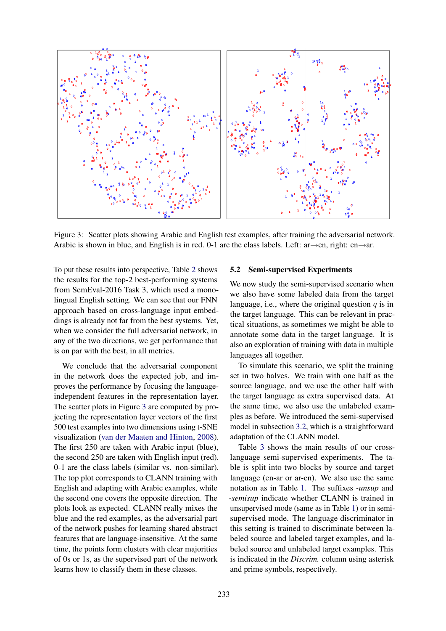

Figure 3: Scatter plots showing Arabic and English test examples, after training the adversarial network. Arabic is shown in blue, and English is in red. 0-1 are the class labels. Left: ar $\rightarrow$ en, right: en $\rightarrow$ ar.

To put these results into perspective, Table 2 shows the results for the top-2 best-performing systems from SemEval-2016 Task 3, which used a monolingual English setting. We can see that our FNN approach based on cross-language input embeddings is already not far from the best systems. Yet, when we consider the full adversarial network, in any of the two directions, we get performance that is on par with the best, in all metrics.

We conclude that the adversarial component in the network does the expected job, and improves the performance by focusing the languageindependent features in the representation layer. The scatter plots in Figure 3 are computed by projecting the representation layer vectors of the first 500 test examples into two dimensions using t-SNE visualization (van der Maaten and Hinton, 2008). The first 250 are taken with Arabic input (blue), the second 250 are taken with English input (red). 0-1 are the class labels (similar vs. non-similar). The top plot corresponds to CLANN training with English and adapting with Arabic examples, while the second one covers the opposite direction. The plots look as expected. CLANN really mixes the blue and the red examples, as the adversarial part of the network pushes for learning shared abstract features that are language-insensitive. At the same time, the points form clusters with clear majorities of 0s or 1s, as the supervised part of the network learns how to classify them in these classes.

#### 5.2 Semi-supervised Experiments

We now study the semi-supervised scenario when we also have some labeled data from the target language, i.e., where the original question  $q$  is in the target language. This can be relevant in practical situations, as sometimes we might be able to annotate some data in the target language. It is also an exploration of training with data in multiple languages all together.

To simulate this scenario, we split the training set in two halves. We train with one half as the source language, and we use the other half with the target language as extra supervised data. At the same time, we also use the unlabeled examples as before. We introduced the semi-supervised model in subsection 3.2, which is a straightforward adaptation of the CLANN model.

Table 3 shows the main results of our crosslanguage semi-supervised experiments. The table is split into two blocks by source and target language (en-ar or ar-en). We also use the same notation as in Table 1. The suffixes *-unsup* and *-semisup* indicate whether CLANN is trained in unsupervised mode (same as in Table 1) or in semisupervised mode. The language discriminator in this setting is trained to discriminate between labeled source and labeled target examples, and labeled source and unlabeled target examples. This is indicated in the *Discrim.* column using asterisk and prime symbols, respectively.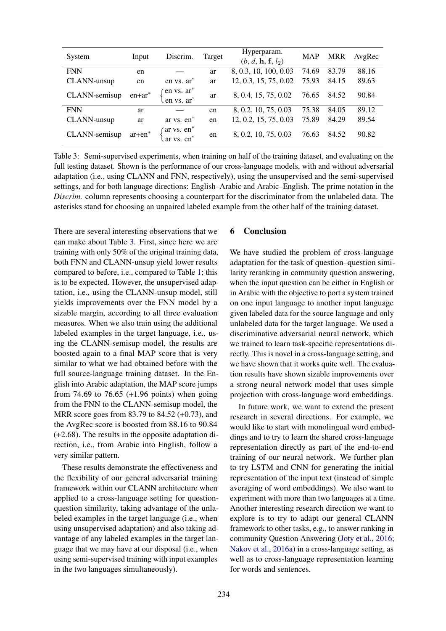| System        | Input     | Discrim.                 | Target | Hyperparam.<br>$(b, d, h, f, l_2)$ | <b>MAP</b> | MRR   | AvgRec |
|---------------|-----------|--------------------------|--------|------------------------------------|------------|-------|--------|
| <b>FNN</b>    | en        |                          | ar     | 8, 0.3, 10, 100, 0.03              | 74.69      | 83.79 | 88.16  |
| CLANN-unsup   | en        | en vs. ar'               | ar     | 12, 0.3, 15, 75, 0.02              | 75.93      | 84.15 | 89.63  |
| CLANN-semisup | $en+ar^*$ | en vs. ar*<br>en vs. ar' | ar     | 8, 0.4, 15, 75, 0.02               | 76.65      | 84.52 | 90.84  |
| <b>FNN</b>    | ar        |                          | en     | 8, 0.2, 10, 75, 0.03               | 75.38      | 84.05 | 89.12  |
| CLANN-unsup   | ar        | ar vs. en'               | en     | 12, 0.2, 15, 75, 0.03              | 75.89      | 84.29 | 89.54  |
| CLANN-semisup | $ar+en^*$ | ar vs. en*<br>ar vs. en' | en     | 8, 0.2, 10, 75, 0.03               | 76.63      | 84.52 | 90.82  |

Table 3: Semi-supervised experiments, when training on half of the training dataset, and evaluating on the full testing dataset. Shown is the performance of our cross-language models, with and without adversarial adaptation (i.e., using CLANN and FNN, respectively), using the unsupervised and the semi-supervised settings, and for both language directions: English–Arabic and Arabic–English. The prime notation in the *Discrim.* column represents choosing a counterpart for the discriminator from the unlabeled data. The asterisks stand for choosing an unpaired labeled example from the other half of the training dataset.

There are several interesting observations that we can make about Table 3. First, since here we are training with only 50% of the original training data, both FNN and CLANN-unsup yield lower results compared to before, i.e., compared to Table 1; this is to be expected. However, the unsupervised adaptation, i.e., using the CLANN-unsup model, still yields improvements over the FNN model by a sizable margin, according to all three evaluation measures. When we also train using the additional labeled examples in the target language, i.e., using the CLANN-semisup model, the results are boosted again to a final MAP score that is very similar to what we had obtained before with the full source-language training dataset. In the English into Arabic adaptation, the MAP score jumps from 74.69 to 76.65 (+1.96 points) when going from the FNN to the CLANN-semisup model, the MRR score goes from 83.79 to 84.52 (+0.73), and the AvgRec score is boosted from 88.16 to 90.84 (+2.68). The results in the opposite adaptation direction, i.e., from Arabic into English, follow a very similar pattern.

These results demonstrate the effectiveness and the flexibility of our general adversarial training framework within our CLANN architecture when applied to a cross-language setting for questionquestion similarity, taking advantage of the unlabeled examples in the target language (i.e., when using unsupervised adaptation) and also taking advantage of any labeled examples in the target language that we may have at our disposal (i.e., when using semi-supervised training with input examples in the two languages simultaneously).

#### 6 Conclusion

We have studied the problem of cross-language adaptation for the task of question–question similarity reranking in community question answering, when the input question can be either in English or in Arabic with the objective to port a system trained on one input language to another input language given labeled data for the source language and only unlabeled data for the target language. We used a discriminative adversarial neural network, which we trained to learn task-specific representations directly. This is novel in a cross-language setting, and we have shown that it works quite well. The evaluation results have shown sizable improvements over a strong neural network model that uses simple projection with cross-language word embeddings.

In future work, we want to extend the present research in several directions. For example, we would like to start with monolingual word embeddings and to try to learn the shared cross-language representation directly as part of the end-to-end training of our neural network. We further plan to try LSTM and CNN for generating the initial representation of the input text (instead of simple averaging of word embeddings). We also want to experiment with more than two languages at a time. Another interesting research direction we want to explore is to try to adapt our general CLANN framework to other tasks, e.g., to answer ranking in community Question Answering (Joty et al., 2016; Nakov et al., 2016a) in a cross-language setting, as well as to cross-language representation learning for words and sentences.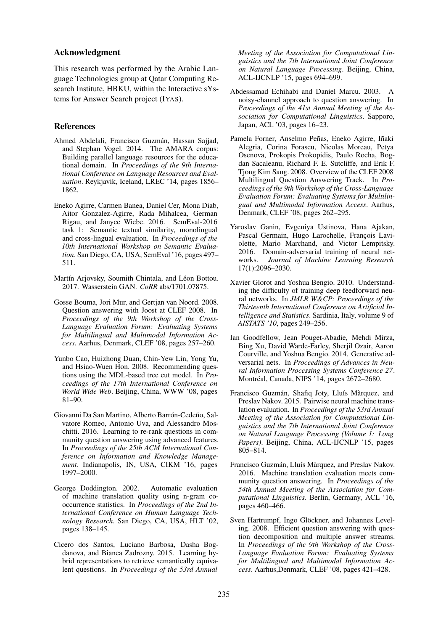#### Acknowledgment

This research was performed by the Arabic Language Technologies group at Qatar Computing Research Institute, HBKU, within the Interactive sYstems for Answer Search project (IYAS).

### References

- Ahmed Abdelali, Francisco Guzmán, Hassan Sajjad, and Stephan Vogel. 2014. The AMARA corpus: Building parallel language resources for the educational domain. In *Proceedings of the 9th International Conference on Language Resources and Evaluation*. Reykjavik, Iceland, LREC '14, pages 1856– 1862.
- Eneko Agirre, Carmen Banea, Daniel Cer, Mona Diab, Aitor Gonzalez-Agirre, Rada Mihalcea, German Rigau, and Janyce Wiebe. 2016. SemEval-2016 task 1: Semantic textual similarity, monolingual and cross-lingual evaluation. In *Proceedings of the 10th International Workshop on Semantic Evaluation*. San Diego, CA, USA, SemEval '16, pages 497– 511.
- Martín Arjovsky, Soumith Chintala, and Léon Bottou. 2017. Wasserstein GAN. *CoRR* abs/1701.07875.
- Gosse Bouma, Jori Mur, and Gertjan van Noord. 2008. Question answering with Joost at CLEF 2008. In *Proceedings of the 9th Workshop of the Cross-Language Evaluation Forum: Evaluating Systems for Multilingual and Multimodal Information Access*. Aarhus, Denmark, CLEF '08, pages 257–260.
- Yunbo Cao, Huizhong Duan, Chin-Yew Lin, Yong Yu, and Hsiao-Wuen Hon. 2008. Recommending questions using the MDL-based tree cut model. In *Proceedings of the 17th International Conference on World Wide Web*. Beijing, China, WWW '08, pages 81–90.
- Giovanni Da San Martino, Alberto Barrón-Cedeño, Salvatore Romeo, Antonio Uva, and Alessandro Moschitti. 2016. Learning to re-rank questions in community question answering using advanced features. In *Proceedings of the 25th ACM International Conference on Information and Knowledge Management*. Indianapolis, IN, USA, CIKM '16, pages 1997–2000.
- George Doddington. 2002. Automatic evaluation of machine translation quality using n-gram cooccurrence statistics. In *Proceedings of the 2nd International Conference on Human Language Technology Research*. San Diego, CA, USA, HLT '02, pages 138–145.
- Cicero dos Santos, Luciano Barbosa, Dasha Bogdanova, and Bianca Zadrozny. 2015. Learning hybrid representations to retrieve semantically equivalent questions. In *Proceedings of the 53rd Annual*

*Meeting of the Association for Computational Linguistics and the 7th International Joint Conference on Natural Language Processing*. Beijing, China, ACL-IJCNLP '15, pages 694–699.

- Abdessamad Echihabi and Daniel Marcu. 2003. A noisy-channel approach to question answering. In *Proceedings of the 41st Annual Meeting of the Association for Computational Linguistics*. Sapporo, Japan, ACL '03, pages 16–23.
- Pamela Forner, Anselmo Peñas, Eneko Agirre, Iñaki Alegria, Corina Forascu, Nicolas Moreau, Petya Osenova, Prokopis Prokopidis, Paulo Rocha, Bogdan Sacaleanu, Richard F. E. Sutcliffe, and Erik F. Tjong Kim Sang. 2008. Overview of the CLEF 2008 Multilingual Question Answering Track. In *Proceedings of the 9th Workshop of the Cross-Language Evaluation Forum: Evaluating Systems for Multilingual and Multimodal Information Access*. Aarhus, Denmark, CLEF '08, pages 262–295.
- Yaroslav Ganin, Evgeniya Ustinova, Hana Ajakan, Pascal Germain, Hugo Larochelle, François Laviolette, Mario Marchand, and Victor Lempitsky. 2016. Domain-adversarial training of neural networks. *Journal of Machine Learning Research* 17(1):2096–2030.
- Xavier Glorot and Yoshua Bengio. 2010. Understanding the difficulty of training deep feedforward neural networks. In *JMLR W&CP: Proceedings of the Thirteenth International Conference on Artificial Intelligence and Statistics*. Sardinia, Italy, volume 9 of *AISTATS '10*, pages 249–256.
- Ian Goodfellow, Jean Pouget-Abadie, Mehdi Mirza, Bing Xu, David Warde-Farley, Sherjil Ozair, Aaron Courville, and Yoshua Bengio. 2014. Generative adversarial nets. In *Proceedings of Advances in Neural Information Processing Systems Conference 27*. Montréal, Canada, NIPS '14, pages 2672-2680.
- Francisco Guzmán, Shafiq Joty, Lluís Màrquez, and Preslav Nakov. 2015. Pairwise neural machine translation evaluation. In *Proceedings of the 53rd Annual Meeting of the Association for Computational Linguistics and the 7th International Joint Conference on Natural Language Processing (Volume 1: Long Papers)*. Beijing, China, ACL-IJCNLP '15, pages 805–814.
- Francisco Guzmán, Lluís Màrquez, and Preslav Nakov. 2016. Machine translation evaluation meets community question answering. In *Proceedings of the 54th Annual Meeting of the Association for Computational Linguistics*. Berlin, Germany, ACL '16, pages 460–466.
- Sven Hartrumpf, Ingo Glöckner, and Johannes Leveling. 2008. Efficient question answering with question decomposition and multiple answer streams. In *Proceedings of the 9th Workshop of the Cross-Language Evaluation Forum: Evaluating Systems for Multilingual and Multimodal Information Access*. Aarhus,Denmark, CLEF '08, pages 421–428.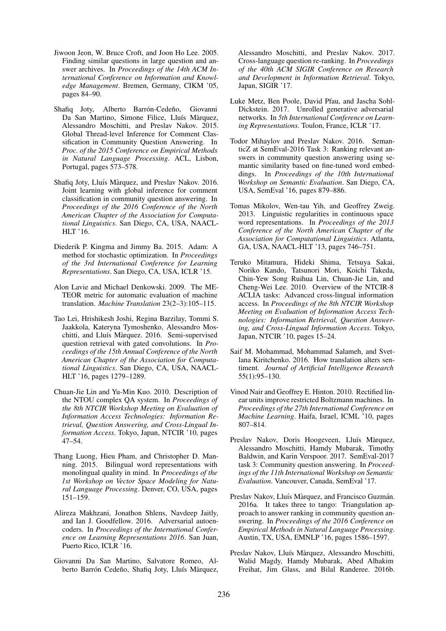- Jiwoon Jeon, W. Bruce Croft, and Joon Ho Lee. 2005. Finding similar questions in large question and answer archives. In *Proceedings of the 14th ACM International Conference on Information and Knowledge Management*. Bremen, Germany, CIKM '05, pages 84–90.
- Shafiq Joty, Alberto Barrón-Cedeño, Giovanni Da San Martino, Simone Filice, Lluís Màrquez, Alessandro Moschitti, and Preslav Nakov. 2015. Global Thread-level Inference for Comment Classification in Community Question Answering. In *Proc. of the 2015 Conference on Empirical Methods in Natural Language Processing*. ACL, Lisbon, Portugal, pages 573–578.
- Shafiq Joty, Lluís Màrquez, and Preslav Nakov. 2016. Joint learning with global inference for comment classification in community question answering. In *Proceedings of the 2016 Conference of the North American Chapter of the Association for Computational Linguistics*. San Diego, CA, USA, NAACL-HLT '16.
- Diederik P. Kingma and Jimmy Ba. 2015. Adam: A method for stochastic optimization. In *Proceedings of the 3rd International Conference for Learning Representations*. San Diego, CA, USA, ICLR '15.
- Alon Lavie and Michael Denkowski. 2009. The ME-TEOR metric for automatic evaluation of machine translation. *Machine Translation* 23(2–3):105–115.
- Tao Lei, Hrishikesh Joshi, Regina Barzilay, Tommi S. Jaakkola, Kateryna Tymoshenko, Alessandro Moschitti, and Lluís Màrquez. 2016. Semi-supervised question retrieval with gated convolutions. In *Proceedings of the 15th Annual Conference of the North American Chapter of the Association for Computational Linguistics*. San Diego, CA, USA, NAACL-HLT '16, pages 1279–1289.
- Chuan-Jie Lin and Yu-Min Kuo. 2010. Description of the NTOU complex QA system. In *Proceedings of the 8th NTCIR Workshop Meeting on Evaluation of Information Access Technologies: Information Retrieval, Question Answering, and Cross-Lingual Information Access*. Tokyo, Japan, NTCIR '10, pages 47–54.
- Thang Luong, Hieu Pham, and Christopher D. Manning. 2015. Bilingual word representations with monolingual quality in mind. In *Proceedings of the 1st Workshop on Vector Space Modeling for Natural Language Processing*. Denver, CO, USA, pages 151–159.
- Alireza Makhzani, Jonathon Shlens, Navdeep Jaitly, and Ian J. Goodfellow. 2016. Adversarial autoencoders. In *Proceedings of the International Conference on Learning Representations 2016*. San Juan, Puerto Rico, ICLR '16.
- Giovanni Da San Martino, Salvatore Romeo, Alberto Barrón Cedeño, Shafiq Joty, Lluís Màrquez,

Alessandro Moschitti, and Preslav Nakov. 2017. Cross-language question re-ranking. In *Proceedings of the 40th ACM SIGIR Conference on Research and Development in Information Retrieval*. Tokyo, Japan, SIGIR '17.

- Luke Metz, Ben Poole, David Pfau, and Jascha Sohl-Dickstein. 2017. Unrolled generative adversarial networks. In *5th International Conference on Learning Representations*. Toulon, France, ICLR '17.
- Todor Mihaylov and Preslav Nakov. 2016. SemanticZ at SemEval-2016 Task 3: Ranking relevant answers in community question answering using semantic similarity based on fine-tuned word embeddings. In *Proceedings of the 10th International Workshop on Semantic Evaluation*. San Diego, CA, USA, SemEval '16, pages 879–886.
- Tomas Mikolov, Wen-tau Yih, and Geoffrey Zweig. 2013. Linguistic regularities in continuous space word representations. In *Proceedings of the 2013 Conference of the North American Chapter of the Association for Computational Linguistics*. Atlanta, GA, USA, NAACL-HLT '13, pages 746–751.
- Teruko Mitamura, Hideki Shima, Tetsuya Sakai, Noriko Kando, Tatsunori Mori, Koichi Takeda, Chin-Yew Song Ruihua Lin, Chuan-Jie Lin, and Cheng-Wei Lee. 2010. Overview of the NTCIR-8 ACLIA tasks: Advanced cross-lingual information access. In *Proceedings of the 8th NTCIR Workshop Meeting on Evaluation of Information Access Technologies: Information Retrieval, Question Answering, and Cross-Lingual Information Access*. Tokyo, Japan, NTCIR '10, pages 15–24.
- Saif M. Mohammad, Mohammad Salameh, and Svetlana Kiritchenko. 2016. How translation alters sentiment. *Journal of Artificial Intelligence Research* 55(1):95–130.
- Vinod Nair and Geoffrey E. Hinton. 2010. Rectified linear units improve restricted Boltzmann machines. In *Proceedings of the 27th International Conference on Machine Learning*. Haifa, Israel, ICML '10, pages 807–814.
- Preslav Nakov, Doris Hoogeveen, Lluís Màrquez, Alessandro Moschitti, Hamdy Mubarak, Timothy Baldwin, and Karin Verspoor. 2017. SemEval-2017 task 3: Community question answering. In *Proceedings of the 11th International Workshop on Semantic Evaluation*. Vancouver, Canada, SemEval '17.
- Preslav Nakov, Lluís Màrquez, and Francisco Guzmán. 2016a. It takes three to tango: Triangulation approach to answer ranking in community question answering. In *Proceedings of the 2016 Conference on Empirical Methods in Natural Language Processing*. Austin, TX, USA, EMNLP '16, pages 1586–1597.
- Preslav Nakov, Lluís Màrquez, Alessandro Moschitti, Walid Magdy, Hamdy Mubarak, Abed Alhakim Freihat, Jim Glass, and Bilal Randeree. 2016b.